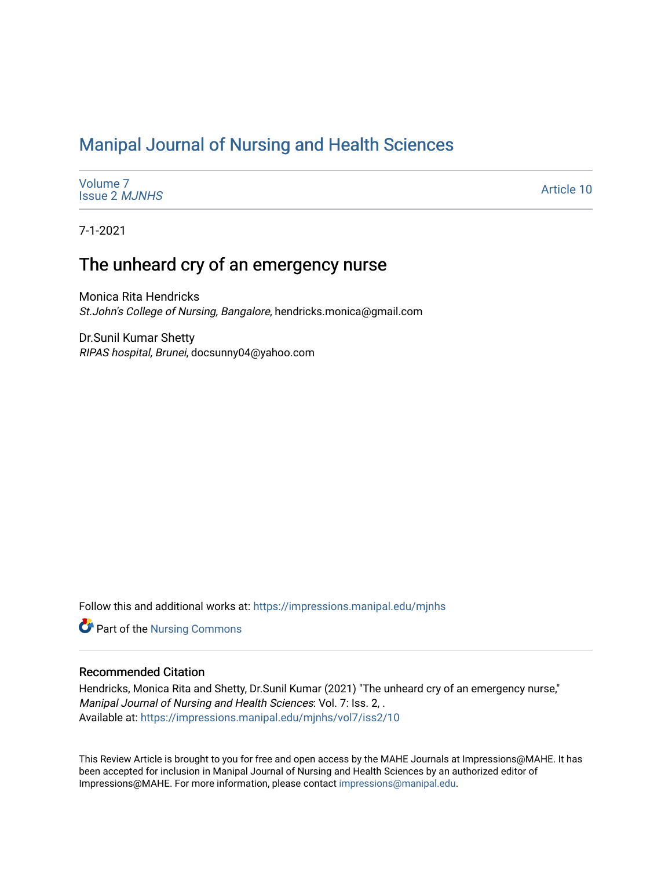# [Manipal Journal of Nursing and Health Sciences](https://impressions.manipal.edu/mjnhs)

[Volume 7](https://impressions.manipal.edu/mjnhs/vol7) [Issue 2](https://impressions.manipal.edu/mjnhs/vol7/iss2) MJNHS

[Article 10](https://impressions.manipal.edu/mjnhs/vol7/iss2/10) 

7-1-2021

# The unheard cry of an emergency nurse

Monica Rita Hendricks St.John's College of Nursing, Bangalore, hendricks.monica@gmail.com

Dr.Sunil Kumar Shetty RIPAS hospital, Brunei, docsunny04@yahoo.com

Follow this and additional works at: [https://impressions.manipal.edu/mjnhs](https://impressions.manipal.edu/mjnhs?utm_source=impressions.manipal.edu%2Fmjnhs%2Fvol7%2Fiss2%2F10&utm_medium=PDF&utm_campaign=PDFCoverPages) 

**Part of the Nursing Commons** 

## Recommended Citation

Hendricks, Monica Rita and Shetty, Dr.Sunil Kumar (2021) "The unheard cry of an emergency nurse," Manipal Journal of Nursing and Health Sciences: Vol. 7: Iss. 2, . Available at: [https://impressions.manipal.edu/mjnhs/vol7/iss2/10](https://impressions.manipal.edu/mjnhs/vol7/iss2/10?utm_source=impressions.manipal.edu%2Fmjnhs%2Fvol7%2Fiss2%2F10&utm_medium=PDF&utm_campaign=PDFCoverPages)

This Review Article is brought to you for free and open access by the MAHE Journals at Impressions@MAHE. It has been accepted for inclusion in Manipal Journal of Nursing and Health Sciences by an authorized editor of Impressions@MAHE. For more information, please contact [impressions@manipal.edu](mailto:impressions@manipal.edu).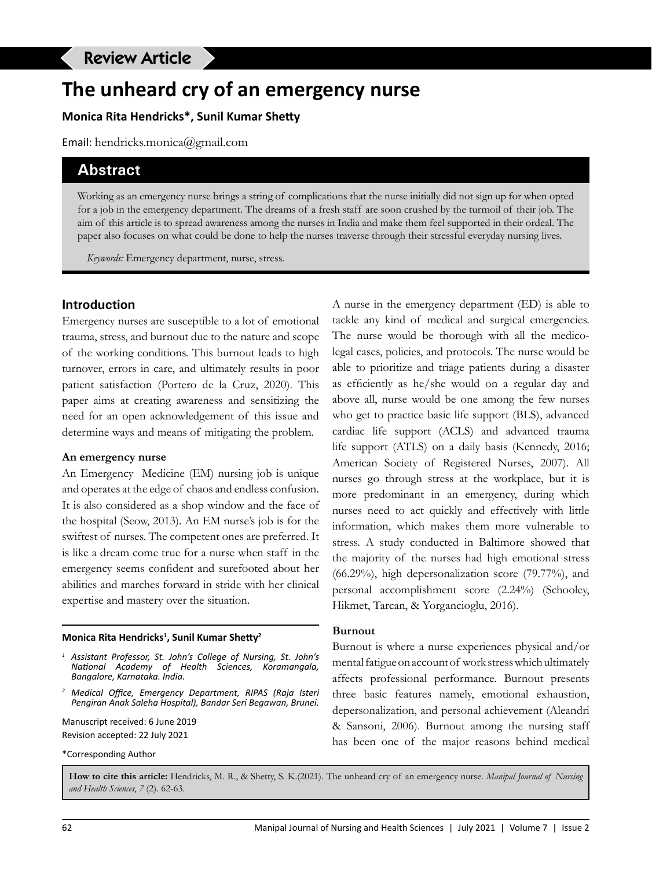# **The unheard cry of an emergency nurse**

## **Monica Rita Hendricks\*, Sunil Kumar Shetty**

Email: hendricks.monica@gmail.com

## **Abstract**

Working as an emergency nurse brings a string of complications that the nurse initially did not sign up for when opted for a job in the emergency department. The dreams of a fresh staff are soon crushed by the turmoil of their job. The aim of this article is to spread awareness among the nurses in India and make them feel supported in their ordeal. The paper also focuses on what could be done to help the nurses traverse through their stressful everyday nursing lives.

*Keywords:* Emergency department, nurse, stress.

#### **Introduction**

Emergency nurses are susceptible to a lot of emotional trauma, stress, and burnout due to the nature and scope of the working conditions. This burnout leads to high turnover, errors in care, and ultimately results in poor patient satisfaction (Portero de la Cruz, 2020). This paper aims at creating awareness and sensitizing the need for an open acknowledgement of this issue and determine ways and means of mitigating the problem.

#### **An emergency nurse**

An Emergency Medicine (EM) nursing job is unique and operates at the edge of chaos and endless confusion. It is also considered as a shop window and the face of the hospital (Seow, 2013). An EM nurse's job is for the swiftest of nurses. The competent ones are preferred. It is like a dream come true for a nurse when staff in the emergency seems confident and surefooted about her abilities and marches forward in stride with her clinical expertise and mastery over the situation.

#### **Monica Rita Hendricks1 , Sunil Kumar Shetty<sup>2</sup>**

- *<sup>1</sup> Assistant Professor, St. John's College of Nursing, St. John's National Academy of Health Sciences, Koramangala, Bangalore, Karnataka. India.*
- *<sup>2</sup> Medical Office, Emergency Department, RIPAS (Raja Isteri Pengiran Anak Saleha Hospital), Bandar Seri Begawan, Brunei.*

Manuscript received: 6 June 2019 Revision accepted: 22 July 2021

\*Corresponding Author

A nurse in the emergency department (ED) is able to tackle any kind of medical and surgical emergencies. The nurse would be thorough with all the medicolegal cases, policies, and protocols. The nurse would be able to prioritize and triage patients during a disaster as efficiently as he/she would on a regular day and above all, nurse would be one among the few nurses who get to practice basic life support (BLS), advanced cardiac life support (ACLS) and advanced trauma life support (ATLS) on a daily basis (Kennedy, 2016; American Society of Registered Nurses, 2007). All nurses go through stress at the workplace, but it is more predominant in an emergency, during which nurses need to act quickly and effectively with little information, which makes them more vulnerable to stress. A study conducted in Baltimore showed that the majority of the nurses had high emotional stress (66.29%), high depersonalization score (79.77%), and personal accomplishment score (2.24%) (Schooley, Hikmet, Tarcan, & Yorgancioglu, 2016).

#### **Burnout**

Burnout is where a nurse experiences physical and/or mental fatigue on account of work stress which ultimately affects professional performance. Burnout presents three basic features namely, emotional exhaustion, depersonalization, and personal achievement (Aleandri & Sansoni, 2006). Burnout among the nursing staff has been one of the major reasons behind medical

**How to cite this article:** Hendricks, M. R., & Shetty, S. K.(2021). The unheard cry of an emergency nurse. *Manipal Journal of Nursing and Health Sciences*, *7* (2). 62-63.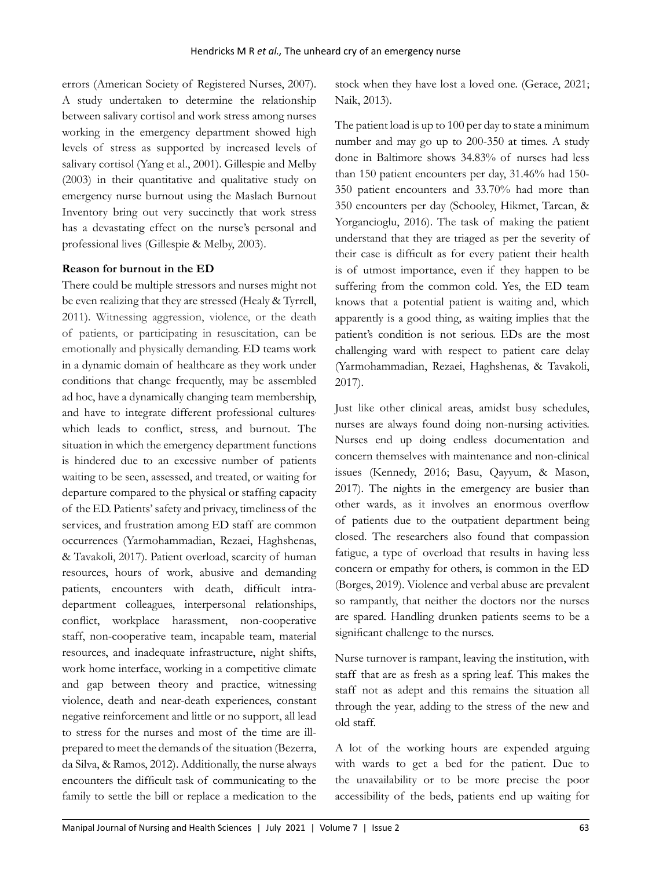errors (American Society of Registered Nurses, 2007). A study undertaken to determine the relationship between salivary cortisol and work stress among nurses working in the emergency department showed high levels of stress as supported by increased levels of salivary cortisol (Yang et al., 2001). Gillespie and Melby (2003) in their quantitative and qualitative study on emergency nurse burnout using the Maslach Burnout Inventory bring out very succinctly that work stress has a devastating effect on the nurse's personal and professional lives (Gillespie & Melby, 2003).

#### **Reason for burnout in the ED**

There could be multiple stressors and nurses might not be even realizing that they are stressed (Healy & Tyrrell, 2011). Witnessing aggression, violence, or the death of patients, or participating in resuscitation, can be emotionally and physically demanding. ED teams work in a dynamic domain of healthcare as they work under conditions that change frequently, may be assembled ad hoc, have a dynamically changing team membership, and have to integrate different professional cultures which leads to conflict, stress, and burnout. The situation in which the emergency department functions is hindered due to an excessive number of patients waiting to be seen, assessed, and treated, or waiting for departure compared to the physical or staffing capacity of the ED. Patients' safety and privacy, timeliness of the services, and frustration among ED staff are common occurrences (Yarmohammadian, Rezaei, Haghshenas, & Tavakoli, 2017). Patient overload, scarcity of human resources, hours of work, abusive and demanding patients, encounters with death, difficult intradepartment colleagues, interpersonal relationships, conflict, workplace harassment, non-cooperative staff, non-cooperative team, incapable team, material resources, and inadequate infrastructure, night shifts, work home interface, working in a competitive climate and gap between theory and practice, witnessing violence, death and near-death experiences, constant negative reinforcement and little or no support, all lead to stress for the nurses and most of the time are illprepared to meet the demands of the situation (Bezerra, da Silva, & Ramos, 2012). Additionally, the nurse always encounters the difficult task of communicating to the family to settle the bill or replace a medication to the

stock when they have lost a loved one. (Gerace, 2021; Naik, 2013).

The patient load is up to 100 per day to state a minimum number and may go up to 200-350 at times. A study done in Baltimore shows 34.83% of nurses had less than 150 patient encounters per day, 31.46% had 150- 350 patient encounters and 33.70% had more than 350 encounters per day (Schooley, Hikmet, Tarcan, & Yorgancioglu, 2016). The task of making the patient understand that they are triaged as per the severity of their case is difficult as for every patient their health is of utmost importance, even if they happen to be suffering from the common cold. Yes, the ED team knows that a potential patient is waiting and, which apparently is a good thing, as waiting implies that the patient's condition is not serious. EDs are the most challenging ward with respect to patient care delay (Yarmohammadian, Rezaei, Haghshenas, & Tavakoli, 2017).

Just like other clinical areas, amidst busy schedules, nurses are always found doing non-nursing activities. Nurses end up doing endless documentation and concern themselves with maintenance and non-clinical issues (Kennedy, 2016; Basu, Qayyum, & Mason, 2017). The nights in the emergency are busier than other wards, as it involves an enormous overflow of patients due to the outpatient department being closed. The researchers also found that compassion fatigue, a type of overload that results in having less concern or empathy for others, is common in the ED (Borges, 2019). Violence and verbal abuse are prevalent so rampantly, that neither the doctors nor the nurses are spared. Handling drunken patients seems to be a significant challenge to the nurses.

Nurse turnover is rampant, leaving the institution, with staff that are as fresh as a spring leaf. This makes the staff not as adept and this remains the situation all through the year, adding to the stress of the new and old staff.

A lot of the working hours are expended arguing with wards to get a bed for the patient. Due to the unavailability or to be more precise the poor accessibility of the beds, patients end up waiting for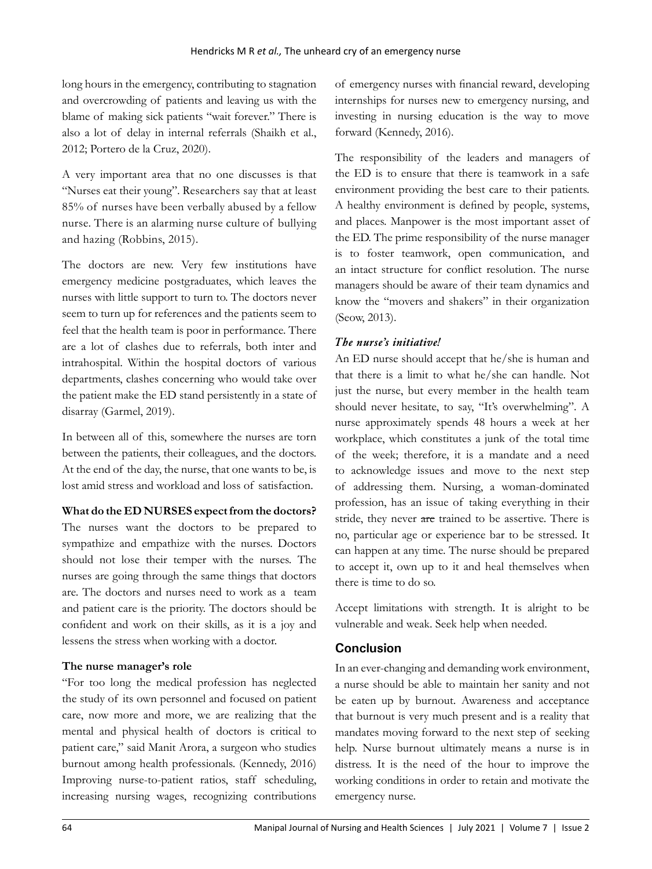long hours in the emergency, contributing to stagnation and overcrowding of patients and leaving us with the blame of making sick patients "wait forever." There is also a lot of delay in internal referrals (Shaikh et al., 2012; Portero de la Cruz, 2020).

A very important area that no one discusses is that "Nurses eat their young". Researchers say that at least 85% of nurses have been verbally abused by a fellow nurse. There is an alarming nurse culture of bullying and hazing (Robbins, 2015).

The doctors are new. Very few institutions have emergency medicine postgraduates, which leaves the nurses with little support to turn to. The doctors never seem to turn up for references and the patients seem to feel that the health team is poor in performance. There are a lot of clashes due to referrals, both inter and intrahospital. Within the hospital doctors of various departments, clashes concerning who would take over the patient make the ED stand persistently in a state of disarray (Garmel, 2019).

In between all of this, somewhere the nurses are torn between the patients, their colleagues, and the doctors. At the end of the day, the nurse, that one wants to be, is lost amid stress and workload and loss of satisfaction.

**What do the ED NURSES expect from the doctors?**

The nurses want the doctors to be prepared to sympathize and empathize with the nurses. Doctors should not lose their temper with the nurses. The nurses are going through the same things that doctors are. The doctors and nurses need to work as a team and patient care is the priority. The doctors should be confident and work on their skills, as it is a joy and lessens the stress when working with a doctor.

## **The nurse manager's role**

"For too long the medical profession has neglected the study of its own personnel and focused on patient care, now more and more, we are realizing that the mental and physical health of doctors is critical to patient care," said Manit Arora, a surgeon who studies burnout among health professionals. (Kennedy, 2016) Improving nurse-to-patient ratios, staff scheduling, increasing nursing wages, recognizing contributions

of emergency nurses with financial reward, developing internships for nurses new to emergency nursing, and investing in nursing education is the way to move forward (Kennedy, 2016).

The responsibility of the leaders and managers of the ED is to ensure that there is teamwork in a safe environment providing the best care to their patients. A healthy environment is defined by people, systems, and places. Manpower is the most important asset of the ED. The prime responsibility of the nurse manager is to foster teamwork, open communication, and an intact structure for conflict resolution. The nurse managers should be aware of their team dynamics and know the "movers and shakers" in their organization (Seow, 2013).

## *The nurse's initiative!*

An ED nurse should accept that he/she is human and that there is a limit to what he/she can handle. Not just the nurse, but every member in the health team should never hesitate, to say, "It's overwhelming". A nurse approximately spends 48 hours a week at her workplace, which constitutes a junk of the total time of the week; therefore, it is a mandate and a need to acknowledge issues and move to the next step of addressing them. Nursing, a woman-dominated profession, has an issue of taking everything in their stride, they never are trained to be assertive. There is no, particular age or experience bar to be stressed. It can happen at any time. The nurse should be prepared to accept it, own up to it and heal themselves when there is time to do so.

Accept limitations with strength. It is alright to be vulnerable and weak. Seek help when needed.

## **Conclusion**

In an ever-changing and demanding work environment, a nurse should be able to maintain her sanity and not be eaten up by burnout. Awareness and acceptance that burnout is very much present and is a reality that mandates moving forward to the next step of seeking help. Nurse burnout ultimately means a nurse is in distress. It is the need of the hour to improve the working conditions in order to retain and motivate the emergency nurse.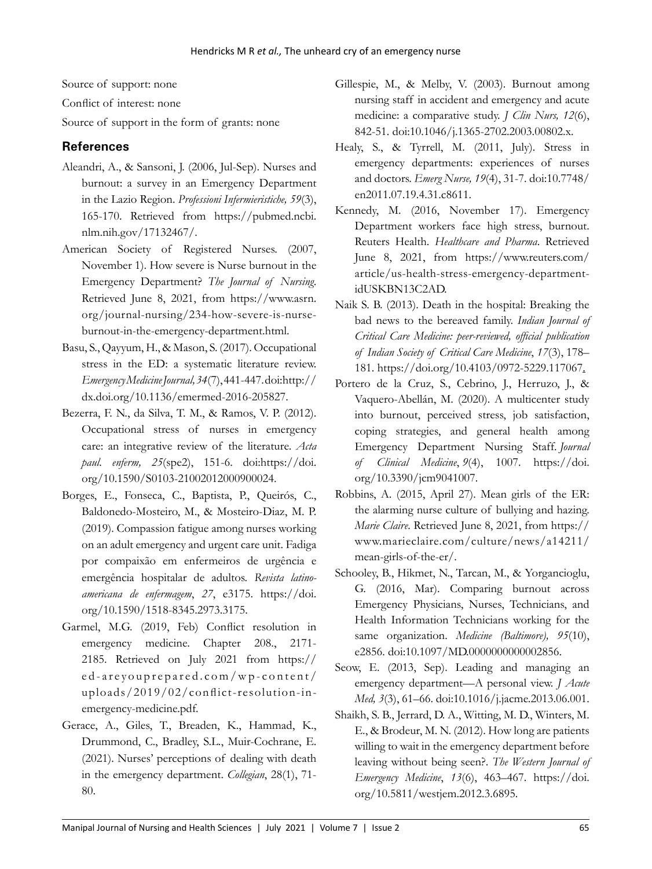Source of support: none

Conflict of interest: none

Source of support in the form of grants: none

## **References**

- Aleandri, A., & Sansoni, J. (2006, Jul-Sep). Nurses and burnout: a survey in an Emergency Department in the Lazio Region. *Professioni Infermieristiche, 59*(3), 165-170. Retrieved from https://pubmed.ncbi. nlm.nih.gov/17132467/.
- American Society of Registered Nurses. (2007, November 1). How severe is Nurse burnout in the Emergency Department? *The Journal of Nursing*. Retrieved June 8, 2021, from https://www.asrn. org/journal-nursing/234-how-severe-is-nurseburnout-in-the-emergency-department.html.
- Basu, S., Qayyum, H., & Mason, S. (2017). Occupational stress in the ED: a systematic literature review. *Emergency Medicine Journal, 34*(7), 441-447. doi:http:// dx.doi.org/10.1136/emermed-2016-205827.
- Bezerra, F. N., da Silva, T. M., & Ramos, V. P. (2012). Occupational stress of nurses in emergency care: an integrative review of the literature. *Acta paul. enferm, 25*(spe2), 151-6. doi:https://doi. org/10.1590/S0103-21002012000900024.
- Borges, E., Fonseca, C., Baptista, P., Queirós, C., Baldonedo-Mosteiro, M., & Mosteiro-Diaz, M. P. (2019). Compassion fatigue among nurses working on an adult emergency and urgent care unit. Fadiga por compaixão em enfermeiros de urgência e emergência hospitalar de adultos. *Revista latinoamericana de enfermagem*, *27*, e3175. https://doi. org/10.1590/1518-8345.2973.3175.
- Garmel, M.G. (2019, Feb) Conflict resolution in emergency medicine. Chapter 208., 2171- 2185. Retrieved on July 2021 from https:// ed-areyouprepared.com/wp-content/ uploads/2019/02/conflict-resolution-inemergency-medicine.pdf.
- Gerace, A., Giles, T., Breaden, K., Hammad, K., Drummond, C., Bradley, S.L., Muir-Cochrane, E. (2021). Nurses' perceptions of dealing with death in the emergency department. *Collegian*, 28(1), 71- 80.
- Gillespie, M., & Melby, V. (2003). Burnout among nursing staff in accident and emergency and acute medicine: a comparative study. *J Clin Nurs, 12*(6), 842-51. doi:10.1046/j.1365-2702.2003.00802.x.
- Healy, S., & Tyrrell, M. (2011, July). Stress in emergency departments: experiences of nurses and doctors. *Emerg Nurse, 19*(4), 31-7. doi:10.7748/ en2011.07.19.4.31.c8611.
- Kennedy, M. (2016, November 17). Emergency Department workers face high stress, burnout. Reuters Health. *Healthcare and Pharma*. Retrieved June 8, 2021, from https://www.reuters.com/ article/us-health-stress-emergency-departmentidUSKBN13C2AD.
- Naik S. B. (2013). Death in the hospital: Breaking the bad news to the bereaved family. *Indian Journal of Critical Care Medicine: peer-reviewed, official publication of Indian Society of Critical Care Medicine*, *17*(3), 178– 181. https://doi.org/10.4103/0972-5229.117067.
- Portero de la Cruz, S., Cebrino, J., Herruzo, J., & Vaquero-Abellán, M. (2020). A multicenter study into burnout, perceived stress, job satisfaction, coping strategies, and general health among Emergency Department Nursing Staff. *Journal of Clinical Medicine*, *9*(4), 1007. https://doi. org/10.3390/jcm9041007.
- Robbins, A. (2015, April 27). Mean girls of the ER: the alarming nurse culture of bullying and hazing. *Marie Claire*. Retrieved June 8, 2021, from https:// www.marieclaire.com/culture/news/a14211/ mean-girls-of-the-er/.
- Schooley, B., Hikmet, N., Tarcan, M., & Yorgancioglu, G. (2016, Mar). Comparing burnout across Emergency Physicians, Nurses, Technicians, and Health Information Technicians working for the same organization. *Medicine (Baltimore), 95*(10), e2856. doi:10.1097/MD.0000000000002856.
- Seow, E. (2013, Sep). Leading and managing an emergency department—A personal view. *J Acute Med, 3*(3), 61–66. doi:10.1016/j.jacme.2013.06.001.
- Shaikh, S. B., Jerrard, D. A., Witting, M. D., Winters, M. E., & Brodeur, M. N. (2012). How long are patients willing to wait in the emergency department before leaving without being seen?. *The Western Journal of Emergency Medicine*, *13*(6), 463–467. https://doi. org/10.5811/westjem.2012.3.6895.